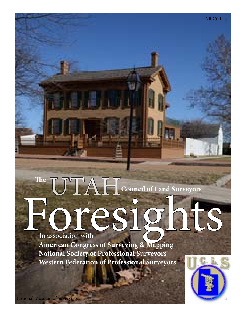

# Foresights

**American Congress of Surveying & Mapping National Society of Professional Surveyors Western Federation of Professional Surveyors**



Fall 2011

National Museum of Surveying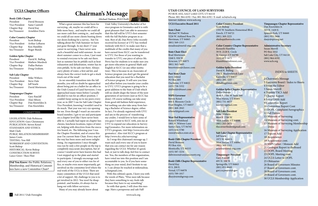#### **UCLS Chapter Officers**

#### **Book Cliffs Chapter**

President Scott Bishop Vice President Arthur LeBaron Chapter Rep Ken Hamblin Sec/Treasurer Roger Bundy

| President      | David Bronson  |
|----------------|----------------|
| Vice President | Same Cantrell  |
| Chapter Rep    | David Kay      |
| Sec/Treasurer  | Arneldon Davis |

#### **Color Country Chapter**

#### **Golden Spike Chapter**

President Gary Ratcliff Vice President Alan Sibson Chapter Rep Dan Knowlden Jr. Sec/Treasurer Dan Knowlden

#### **COMMITTEES**

Presdient David K. Balling Vice President Mathew Murdock Chapter Rep Dallas Buttars Sec/Treasurer Doug Graham

#### **Salt Lake Chapter**

President Mike Withers Vice President Steve Dale Chapter Rep Jeff Searle Sec/Treasurer David Mortensen

#### **Timpanogos Chapter**

LEGISLATION: Dale Robinson EDUCATION: Gary Christensen PUBLICATION: Steven Keisel STANDARDS AND ETHICS: Matt Clark PUBLIC RELATION/MEMBERSHIP: James Couts TESTING: Von Hill WORKSHOP AND CONVENTION: Scott Bishop HISTORICAL: Kevin Bishop CONSTRUCTION SURVEY: Lance Greer / Russ Flint

## **Chairman's Message**

 What a great summer this has been for surveying...ok, maybe we could all be a little more busy... and maybe we could all use more cash flow coming in... and maybe we could all use more clients busting down our doors looking for a survey... but I'm talking about the Utah Summer we have just gone through. In my short 17 year career in surveying, I have never seen such a beautiful and mild summer. As our short summer comes to a close, I just want to remind everyone to be safe out there. Just as summer has its pitfalls such as heat exhaustion and dehydration, winter has its own pitfalls. So be safe out there. Always carry plenty of water, a first aid kit, and always have the correct tools to get a stuck truck out of the mud!

 As we smoothly transition into the fall months, you will no doubt be approached about being put on a ballot for an office in the Utah Council of Land Surveyors. I was approached many times before I actually decided to run for an officer position. I couldn't keep saying no to my peers every year, so in 2007 I ran for Salt Lake Chapter Vice President, knowing I wouldn't need to do much. That year was very eye opening for me. Even though I wasn't an executive board member, I got to see and participate on a chapter level like I have never been able to. I actually had input on chapter luncheons, luncheon locations, topics of interest, helping with directives from the executive board, etc. The following year I was the Chapter President, and of course this year I'm current State Chair. Every step of the way has been more and more enlightening. An organization I once thought was run by only a few people on the top is completely inaccurate description, but of course I would never have known this had I not stepped up to the plate and started to participate. I strongly encourage each and every one of you to either run for office, or maybe even more importantly, get involved on the committee level where the real work of the UCLs is done. There are many committees of the UCLS that need a lot of support. My challenge to you is to get involved in 2012. You won't be disappointed...and besides, it's always fun to hang out with fellow surveyors. Many of you may already know about

Utah Valley University's Bachelor of Sci ence program in Geomatics and it is with

## **Timpanogos President** Gary Ratcliff

great pleasure that I am able to announce that this fall will be UVU's first semester with the full Bachelor program in action. Best of all, Dan Perry (who recently received his license) at UVU has worked tirelessly with SLCC to make sure that a multitude of the credits that many of you have earned from SLCC can be transferred to UVU. For those of you wanting to transfer to UVU, one piece of advice Mr. Perry has for students is to make sure you get more education in general Math and English at SLCC (or any other institution). This is because in an Associates of Science program you don't get the general education that you need for a Bachelor of Science program. It will save you time and effort before you transfer your credits to UVU. UVU's program is going to be a great addition to the State of Utah which will no-doubt shape the future of the next generation of surveyors (just as SLCC has done). Of course nothing can take away from good old fashion field experience, but nothing can also take away from having a Bachelor of Science degree, either. In fact, I've already registered with UVU and am in the process of transferring my credits. I would love to have some of you guys I went to SLCC with, join me at UVU to expand our education in Surveying/Geomatics. For more information on UVU's program, visit http://www.uvu.edu/ geomatics/. Also visit SLCC's program at http://www.slcc.edu/surveying/.

 As I wrap this chairman's message up, I want each and every one of you to know that you can contact me for any reason regarding the UCLS. Whether it's good, bad, or just to talk shop, feel free to contact me. You, the members of this organization, have voted me into this position and I am accountable to you. So if you have something on your mind, don't hesitate to say it. I can always be reached at mikenadeau. ucls@gmail.com.

 With this edition's quote, I leave you with the words of Plato, "Wise men talk because they have something to say; fools talk because they have to say something"

 So with that quote, I will close this message. Have a prosperous and safe Fall!

-Michael Nadeau, PLS/CFedS

**Did You Know:** the Public Relations, Membership, and Historical Committees have a new Committee Chair?

## 2 Fall 2011/ Utah Foresights www.ucls.org



#### **UCLS Executive Board 2011**

#### **State Chair**

Michael W. Nadeau 5226 W. Ashland Rose Dr. Herriman, UT 84065 (801) 569-1315 mnadeau@merid-eng.com

**State Chair Elect** Brad Mortensen 3268 S. 930 W. Syracuse, UT 84075  $(801)$  363-5605 bmortensen@classoc.com

**Past State Chair** Jerry Allred PO Box 605 Duchesne, UT 84021 (435) 738-5352 jdallred@ubtanet.com

**NSPS Governor** Steven Keisel 604 S. Blossom Circle Fruit Heights, UT 84037 (801) 468-2043

svkeisel@gmail.com

#### **West Fed Representative** Ronald Whitehead 1801 N. Wittwer Lane Santa Clara, UT 84765 (435) 634-5780 ronw@washco.state.ut.us

#### **Book Cliffs Chapter President**

David Bronson PO Box 416 Monticello, UT 84535 (435) 587-3234 dabronson@sanjuancounty.org

**Book Cliffs Chapter Representative** David Kay 85 S. 200 E. Vernal, UT 84078 (435) 789-1017 dkay@uintahgroup.com

#### **UTAH COUNCIL OF LAND SURVEYORS**

PO BOX 1032, SALT LAKE CITY, UT 84110 Phone: 801-964-6192 / Fax: 801-964-6192 / E-mail: ucls@ucls.org Internet Address: www.ucls.org

#### **Color Country President**

1593 W. Southern Homestead Blvd.

Scott Bishop Enoch, UT 84721 (801) 369-3221 sbishop@horrocks.com

#### **Color Country Chapter Representative** Kenneth Hamblin 59 N. 2120 E. Circle

St. George, UT 84790 (435) 673-3075 khamblin@infowest.com

#### **Golden Spike President**

David K. Balling 198 E. Shadowbrook Lane Kaysville, UT 84037 (801) 295-7237 dkballing@msn.com

#### **Golden Spike Chapter Representative** Dallas Buttars

4646 S. 3500 W. Suite 300 West Haven, UT 84401 (801) 731-4075 isurveying@aol.com

#### **Salt Lake President**

Mike Withers 8886 S. 2700 W. West Jordan, UT 84088 (801) 243-2671 thecornerfinder@gmail.com

#### **Salt Lake Chapter Representative**

Jeff Searle 1975 W. 6440 S. West Jordan, UT 84084 (801) 569-1315 jsearle@merid-eng.com

695 N. 100 W. Springville, UT 84663 (801) 851-8669 gary.ucpw@utah.gov

#### **Timpanogos Chapter Representative**

Dan Knowlden Jr. 563 N. 1420 E. Spanish Fork, UT 84660 (801) 955-5606 danjr@epiceng.net

#### **Administrative Secretary** Susan Merrill PO Box 1032 Salt Lake City, UT 84110

(801) 964-6192 www.ucls.org

#### INDEX to SHEETS

2 Chairman's Message 3 Executive Board / Index to Sheets 4 From the Editor 5 Susan Merrill 6 Trimble TSC3 Add 7 Chapter Report 8 Leica GNSS Add 9 Committee Report 10 Committee Report Cont 11 DOPL Complaint/Aerographics 12 Fall Forum 13 Museum of Surveying 14 Museum of Surveying cont. 15 Museum of Surveying Membership Drive 16 Museum of Surveying Application 17 Topcon Add 18 Acquiesence 19 Acquiesence cont. 20 NSPS Letter / Monson Add 21 Geologist Report to theBoard 22 DOPL Board Meeting 23 DOPL Meeting cont. 24 UCLS Letter to DOPL 25 Obituaries 26 Board of Governors Minutes 27 Board of Governors cont. 28 Board of Governors cont. 29 Board of Governors cont.

30 UCLS Membership Application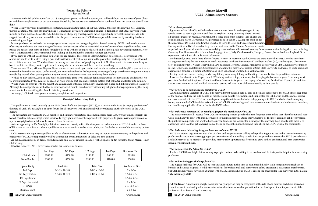Welcome to the fall publication of the UCLS *Foresight* magazine. Within this edition, you will read about the activities of your Chapter and the accomplishments or our committees. Hopefully, the reports are a review of what you have done - not what you should have done.

 Weber County Surveyor Ernest Rowley contributed an interesting article about the National Museum of Surveying. Yes, Virginia, there is a National Museum of Surveying and it is located in downtown Springfield Illinois - a destination that a true surveyor would include on their must see before they die list. Someday, I hope my travels provide me an opportunity to visit the museum. My kids suggest I am already ancient and should therefore be placed in a museum. UCLS has supported the museum by donating funds and contributing our logo.

 In case you have not noticed - the average age of we surveyors has been getting older. Several years ago, NSPS conducted a survey of surveyors and found the medium age of licensed land surveyors to be 46.2 years old. Many of our members, myself included, have passed the apex of that curve and now struggle to keep up with the younger, educated, and technologically advanced generation. However, it is fortunate that we are smarter, better looking, and more humble than this younger generation.

 If you grew up without a cell phone, you are in my age bracket. There was no internet, texting, or facebook. To correspond with others, we had to write a letter, using a pen, address it with a 10-cent stamp, walk to the post office, and hopefully the recipient would receive it in a week or less. We did not have the luxury or convenience of googleing a subject. No, if we wanted to know something, we had to walk to the library, look it up in a card catalog, check out a book, and then read the darn thing.

 There were no IPods, MP3s or Napster. If you wanted to steal music, you had to walk to the record store and shoplift it yourself- or try to record it from the AM radio. Unfortunately, the DJ usually talked at the beginning or ending of songs, thereby screwing it up. It was a terrible day indeed when your tape deck ate your prized 8-tract or cassette tape rendering them useless.

 We had no Play station, Xbox, or Wie boxes with multiple game levels on high definition graphics to entertain and challenge us. No, we were intimidated by the game of pong, on an Atari system, that had one repeating pattern that got faster and faster until you lost.

 Would I want to grow up with the benefit and convenience of today's technology? That is such a hard and difficult question to answer. Although I am not proficient with all of its many options, I doubt I could survive without my cell phone but reprogramming that dang remote control is something that I could definitely do without.

As always, UCLS welcomes your comments, complaints, and suggestions.

#### *Foresight* **Advertising Policy**

 This publication is issued quarterly by the Utah Council of Land Surveyors (UCLS), as a service to the Land Surveying profession of the state of Utah. *The Foresight* is an open forum for all surveyors, with an editorial policy predicated on the objectives of the UCLS Bylaws.

 The publication is provided to UCLS members and similar organizations on complimentary basis. *The Foresight* is not copyright protected, therefore articles, except where specifically copyright noted, may be reprinted with proper credit given. Written permission to reprint copyrighted material must be secured from the author.

 Articles appearing in *The Foresight* publication do not necessarily reflect the viewpoint or endoresement of UCLS, its officers, Board of Directors, or the editor. Articles are published as a service to its members, the public, and for the betterment of the surveying profession.

 UCLS reserves the right to not publish article or advertisement submissions that may be in poor taste or contrary to the policies and objectives of UCLS. No responsiblity will be assumed for errors, misquotes, or deletions as to content.

 All submissions must be in digital form, furnished on a CD or emailed in a .doc, .pdf, .jpeg, eps, or .tiff format to Susan Merrill (smerrill@ucls.org)

Effective January 1, 2011, advertisement rates per issue are as follows:

|               | Full Page | $2/3$ Page | 1/2 Page | 1/4 Page | Business Card |
|---------------|-----------|------------|----------|----------|---------------|
| UCLS Member - | \$200.00  | \$150.00   | \$100.00 | \$50.00  | \$25.00       |
| Non-Member    | \$300.00  | \$250.00   | \$200.00 | \$100.00 | \$50.00       |

| Space Unity          | <b>Bleed Size</b>     | Trim Size             | Live Matter Size         |
|----------------------|-----------------------|-----------------------|--------------------------|
| Full Page            | $8-1/2 \times 10-3/4$ | $7-7/8 \times 10-1/2$ | $7 \times 9 - 3/4$       |
| 2/3 Page Vertical    | $5-3/8 \times 10-3/4$ | $5-1/4 \times 10-1/2$ | $4 - 5/8 \times 9 - 3/4$ |
| 1/2 Page Island      |                       |                       | $4 - 5/8 \times 7 - 1/4$ |
| 1/2 Page Horizontal  |                       |                       | $7 \times 4 - 3/4$       |
| $1-4$ Page           |                       |                       | $3-1/4 \times 4-3/4$     |
| <b>Business Card</b> |                       |                       | $2 \times 3 - 1/2$       |



#### *Tell us about yourself?*

 I grew up in Salt Lake City with three brothers and one sister. I am the youngest in my family. I went to East High School and then to Brigham Young University where I earned a Bachelor's Degree in Music. My instrument is voice and I enjoy singing. I am an alto and sound a lot like Karen Carpenter. I was privileged to be in the BYU A'Cappella choir under the direction of Dr. Ralph Woodward. I was able to travel to Israel and Greece with the choir.. During my time at BYU, I was able to go on a semester abroad to Vienna, Austria, and music major's dream. I spent almost six months studying there and was able to travel to many European countries during that time, including Germany, East Germany (that tells you how long ago it was), Italy, Czechoslovakia, Hungary, France, Switzerland and England. On a separate occasion I was also able travel toMonaco.

 My husband, David, and I share a love of music. We met in Mormon Youth Chorus and were married in 1988. David is a mechanical engineer working for Van Boerum & Frank Associates. We have four wonderful children: Nathan (21), Matthew (19), Christopher (18), and Jennifer (16). Nathan is serving an LDS mission in Toronto, Canada. Matthew is also serving an LDS Church service mission in The Netherlands and Belgium. Christopher is attending his first year of college at Utah State University and wants to study aerospace engineering. Jennifer is a junior at Cottonwood High School and wants to be a violin teacher.

 I enjoy music, of course, reading, crocheting, biking, swimming, hiking, and boating. Our family likes to spend time outdoors. I worked for a law firm for 25 years until 2009 doing various things, but mostly bookkeeping the last several years. I currently work part-time for the Utah Engineers Council and have done so for 16 years. I am happy to be working for the Utah Council of Land Surveyors part-time now as well and look forward to getting to know more of the membership as time goes by.

#### *What do you do as administrative secretary of UCLS?*

 As Administrative Secretary of UCLS, I do many different things. I field all calls and e-mails that come to the UCLS office; keep track of the finances and pay the bills; handle all memberships; handle registrations and support for the Fall Forum and the annual Conference; correspond with the UCLS membership and keep them informed of what is happening with UCLS and other land surveying issues; maintain the UCLS website; take minutes at UCLS Board meetings and provide communication information between members; and handle any applicable office duties for the UCLS office.

#### *What is the most common call or email you get from the membership of UCLS?*

 The most common call I receive from UCLS membership is from people who have forgotten their online user identification and password. I am happy to assist with this information so that members will utilize this valuable tool. The most common call I receive from the public is from people who want to have a survey done and are looking for a surveyor. The only way I can usually help them is to encourage them to either get a referral from a friend or check the phone book and then check the DOPL website for complaints.

#### *What is the most interesting thing you have learned about UCLS?*

 UCLS is a vibrant organization with a lot of talent and people who are willing to help. That is good to see in this time when so many professional associations are struggling to get people involved and willing to help. I was surprised to discover that UCLS provides such a valuable service to its members by providing many quality opportunities for them to grow in their profession and earn their professional development hours.

#### *What do you see in the future for UCLS?*

 I believe UCLS has a bright future as long as people continue to be willing to be involved and do their part to help the land surveying profession.

#### *What will be the biggest challenge for UCLS?*

 The biggest challenge for UCLS will be to maintain members in this time of economic difficulty. With companies cutting back on benefits and salaries stagnant, it will be more difficult for professional land surveyors to afford professional association membership, but Utah land surveyors have such a bargain with UCLS. Membership in UCLS is among the cheapest for land surveyors in the nation! **Take advantage of it!**

**Did You Know:** A maximum of eight hours per two-year period may be recognized at the rate of one hour for each hour served on committees or in leadership roles in any state, national or international organization for the development and improvement of the profession of professional land surveying.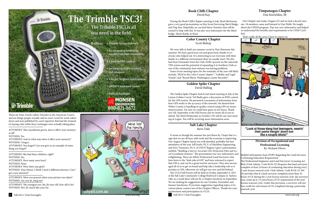

These are from a book called, Disorder in the American Courts, and are things people actually said in court, word for word, taken down and now published by court reporters that had the torment of staying calm while these exchanges were actually taking place.

ATTORNEY: This myasthenia gravis, does it affect your memory at all?

WITNESS: Yes.

ATTORNEY: Were you present when your picture was taken? WITNESS: Are you sh\_tting me?

ATTORNEY: And in what ways does it affect your memory? WITNESS: I forgot...

ATTORNEY: You forgot? Can you give us an example of some thing you forgot?

ATTORNEY: She had three children, right? WITNESS: Yes. ATTORNEY: How many were boys? WITNESS: None. ATTORNEY: Were there any girls? WITNESS: Your Honor, I think I need a different attorney. Can I get a new attorney?

ATTORNEY: The youngest son, the 20-year-old, how old is he? WITNESS: He's 20, much like your IQ.



 During the Book Cliffs Chapter meeting in July, Brad Mortensen gave a very good presentation on Boy Scout Surveying Merit Badge, and Trig-Star. Hopefully, we can find those Teachers that will be excited to help with this. It was also very informative for the Merit badge. Much thanks to Brad.

## **Golden Spike Chapter** David Balling

 The Golden Spike Chapter had its last lunch meeting in July at the Layton Golden Corral. Val Shultz gave a discussion on RTK control for the GPS system. He presented a mountain of information from how GPS works to the accuracy of the network. He showed how Weber County is handling its quality control using GPS on monu ment location. I'm sure we could have gone on for hours, Thank you Val. September is the Fall Forum and we invite all of you to attend. The third Wednesday in October (19) will be our next meet ing in Logan. You will be receiving more information soon.

#### **Salt Lake Chapter** Steve Dale

 It seems as though the summer has just flown by. I hope that is a sign that we are all busy with work and the economy is improving. Our August Chapter lunch was well attended, probably the best attendance of the year. Jeff Searle, P.L.S. of Meridian Engineering, and Jerry Timmons, P.L.S. of UDOT Region 2 gave a presentation entitled, "Building a Survey-Accurate GIS, Projection Files and Lo cal Coordinate Systems." The presentation was very informative and enlightening. These are fellow Professional Land Surveyors who have been to the "dark side of GIS" and have returned to report that GIS is, and can be a great tool for surveyors. They also encour aged all of us to get on board and help take a leadership role as it pertains to GIS, otherwise we will get run over and left behind.

 The UCLS Fall Forum will be held on Friday, September 9, 2011 at the Salt Lake Community College Redwood Campus in Taylors ville, as a result there will not be a Chapter luncheon in September. We are looking for suggestions for our October, November and January luncheons. If you have suggestions regarding topics or lo cations please contact one of the Chapter Officers. Thanks for your involvement and participation in UCLS.

#### **Timpanogos Chapter** Dan Knowlden, JR

 Our Chapter met today (August 25) and we had a decent turn out. 18 members came and listened to Dan Webb. He taught about the CFEDS program. Dan was very informative and helped us understand the benefits and requirements to be CFED Certi fied.



#### **Color County Chapter** Scott Bishop

 We were able to hold our summer social in New Harmony this summer. We had a good turn out and great food, thanks to ev eryone who helped out. It is interesting to see everyone with their family in a different environment than we usually meet. We also had Sean Fernandez from the Utah AGRC present on the statewide VRS system and the potential of expanding it in Southern Utah as one of the community base stations was having problems.

 Some of our meeting topics for the reminder of the year will likely include; "BLM in the Color County chapter", "Liability and Legal Trends", and "Russel Shirts, Washington county Recorder".

> **Division of Occupational and Professional Licensing** By: Richard Oborn

Helpful information from DOPL Regarding the Land Surveyor Continuing Education Requirement The Professional Engineers and Land Surveyors Licensing Act Rule (Utah Admin. Code R156-22) Requires that land surveyors complete at least 24 hours of continuing education during every 2 year license renewal cycle. Utah Admin. Code R156-22-304 (6) provides that if a land surveyor completes more than 24 hours of CE during the 2 year license renewal cycle, the surveyor may count up to 12 extra hours of CE requirement of the next license renewal cycle. Under this provision, a surveyor will not lose credit for extra hours of CE completed during a particular renewal cycle.

7 Fall 2011/ Utah Foresights www.ucls.org

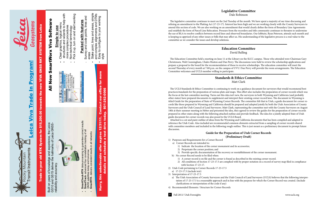**SmartCheck-RTK** data-processing to guarantee correct results

to guarantee correct results<br>llation tracking of all

**SmartTrack**- advanced four constellation tracking of all

GNSS satellites today and tomorrow

Trade in your old RTK System for \$15,200.00 towards the new VIVA GNSS RKT SYSTEM from Leica **Trade in your old RTK System for \$15,200.00 towards the new VIVA GNSS RKT SYSTEM from Leica**

**Program!** 

**Trade In** 

**SmartRTK**- delivers consistent results in all networks

e

.

# **SmartWorx Viva Software All New SmartWorx Viva Software New**<br>
INew



**SmartCheck-RTK** data-processing to guarantee corre<br>**SmartTrack**- advanced four constellation tracking of a<br>GNSS satellites today and tomorrow<br>**SmartRTK-** delivers consistent results in all networks

## Clear graphics, logical menu Simple to use **Simple to use** Clear





- Clear graphics, logical menu<br>structures and wizards to help with<br>more complex procedures structures and wizards to help with
	- more complex procedures Non-technical terminology Non-technical terminology
- Pick it up, turn on and start working Pick it up, turn on and start working

## Packed with features **Packed with features**

- Survey and code points, lines and Survey and code points, lines and areas areas
- Stake point, lines and areas, simple and complex alignments and DTMs Easy to configure to your working Stake point, lines and areas, simple<br>and complex alignments and DTMs<br>Easy to configure to your working<br>style

**Hurry, this unbelievable offer expires 12/31/11. Contact our office for more**  Contact our office for more details and schedule a test drive today. 801-262-0066 **details and schedule a test drive today. 801-262-0066** Hurry, this unbelievable offer expires 12/31/11.

Built on years of knowledge and experience, the Leica Built on years of knowledge and experience, the Leica<br>GS10 and GS15 deliver the hallmarks of Leica GNSS-<br>reliability and accuracy. GS10 and GS15 deliver the hallmarks of Leica GNSSreliability and accuracy.



#### **Legislative Committee** Dale Robinson

 The legislative committee continues to meet on the 2nd Tuesday of the month. We have spent a majority of our time discussing and refining an amendment to the Platting Act (17-23-17). Interest has been high and we are working closely with the County Surveyors to amend this section of code. We are also working on an amendment that would clearly define the form of Boundary Line Agreements and establish the form of Parcel Line Relocation. Pressure from the recorders and title community continues to threaten to undermine the use of BLA to resolve conflicts between record lines and observed boundaries. Our lobbyist, Ryan Peterson, attends each month and is keeping us apprised of any other issues or bills that may affect us. His understanding of the legislative process is a real value to the committee as we consider the issues and develop solutions.

## **Education Committee**

David Balling

 The Education Committee held a meeting on June 11 at the Library on the SLCC campus. Those who attended were Chairman Gary Christensen, Walt Cunningham, Chales Heaton and Dan Perry. The discussions were held to review the scholarship applications and prepare a proposal to the board for the recommendation of those to receive scholarships. The education committee will meet the second Thursday of every month at 7:00 p.m. on the campus of UVU. Dan Perry will provide the room arrangements. The Education Committee welcomes and UCLS member willing to participate.

#### **Standards & Ethics Committee** Matt Clark

 The UCLS Standards & Ethics Committee is continuing to work on a guidance document for surveyors that would recommend best practices/standards for the preparation of various plats and maps. This effort also includes the preparation of corner records which was the focus at the last committee meeting. Turns out this idea isn't new, the surveyors in both Wyoming and California (and probably other states) have prepared documents to supplement and interpret their existing corner record laws. The document in Wyoming is titled Guide for the preparation of State of Wyoming Corner Records. The committee felt that in Utah, a guide document for corner re cords like those prepared in Wyoming and California should be prepared and adopted jointly by both the Utah Association of County Surveyors and the Utah Council of Land Surveyors. Matt Clark, representing the committee met with the County Surveyors on August 18th at their summer meeting in Heber and presented the idea, they agreed to review the guides for the preparation of corner records prepared in other states along with the following attached outline and provide feedback. The idea for a jointly adopted State of Utah guide document for corner records was also posed to the UCLS Board. Attached is a cut and paste outline of ideas from the Wyoming and California documents that has been compiled and adapted to

reference the Utah Code. Also included are recommended common elements extracted from a sampling of corner records shared with committee members and included in the following rough outline. This is just meant as a preliminary document to prompt future discussion.

### **Guide for the Preparation of Utah Corner Records (Preliminary Draft)**

2) All conditions of Section 17-23-17.5 are complied with by proper notation on a record of survey map filed in compliance

- 1) Purposes and Requirements for a Corner Record
	- a) Corner Records are intended to:
		- 1) Indicate the location of the corner monument and its accessories;
		- 2) Perpetuate the corner position; and
		- 3) Provide specific documentation of the recovery or reestablishment of the corner monument.
- b) No corner Record needs to be filed when:
	- 1) A corner record is on file and the corner is found as described in the existing corner record.
	- with Section 17-23-17.
- 2) Utah Code pertaining to Corner Records 17-23-17.5 a) 17-23-17.5 (include text)
- 3) Interpretation of 17-23-17.5
	- clarifications or interpretation of the code if any)
- 4) Recommended Elements / Structure for Corner Records

 a) The Utah Association of County Surveyors and the Utah Council of Land Surveyors (UCLS) believes that the following interpre tation of 17-23-17.5 is a reasonable approach and in line with the purpose for which the Corner Record was created. (Include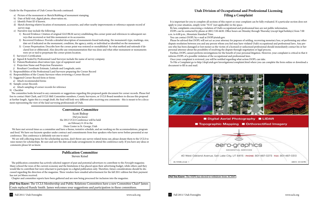- a) Picture of the monument or Sketch/Rubbing of monument stamping.
- b) Date of field visit, digital photo, observation etc.
- c) Identify Point ID if known.
- d) Sketch showing relative location of monument, accessories, and other nearby improvements or reference separate record of survey map.
- e) Narrative may include the following:
	- 1) Record Evidence: Citation of original GLO/BLM survey establishing this corner point and references to subsequent sur veys that recovered or tied this monument or its accessories.
	- 2) Recovered Evidence: Provide a detailed description of monuments found indicating the monument's type, markings, size, date set if indicated on the monument, condition, the agency, entity, or individual as identified on the monument.
	- 3) Corner Perpetuation: Describe how the corner point was restored or reestablished -by what method and rationale if de clared lost or obliterated. Also describe any remonumentation that was done and what other monument or monuments were set or tied to perpetuate the corner points location.
- f) Surveyor's Certification
- g) Signed & Sealed by Professional Land Surveyor include the name of survey company.
- h) Datum/Realization observation type, type of equipment used
- i) Projection Name and Projection Parameters
- j) Resultant Coordinate Estimate, Latitude and Longitude, units
- 5) Responsibilities of the Professional Land Surveyor preparing the Corner Record
- 6) Responsibilities of the County Surveyor when reviewing a Corner Record
- 7) Suggested Corner Record form or forms
- a) Attach recommended forms
- 8) Sample corner Records
- a) Attach sampling of corner records for reference
- 9) Checklist

 The committee looks forward to any comments or suggestions regarding this proposed guide document for corner records. Please feel free to contact Matt Clark, and UCLS S&E Committee members, County Surveyors, or UCLS Board members to discuss this proposal at further length. Again this is a rough draft, the final will look very different after receiving you comments - this is meant to be a document representing the view of the land surveying professionals of Utah.

#### **Convention Committee**

Scott Bishop Did you know: the 2012 UCLS Conference will be held on February 8-10 in the Dixie Center in St. George, Utah

 We have met several times as a committee and have a theme, tentative schedule, and are working on the accommodations, program and food. We have our keynote speaker under contract and commitments from four speakers who have never before presented at our conference. This conference is definitely not one to miss!

 We are still collecting items for the scholarship auction, don't throw any survey related items out, please donate them to the UCLS to raise money for scholarships. Be sure and save the date and make arrangements to attend the conference early. If you have any ideas or comments please let us know.

#### **Publication Committee** Steven Keisel

 The publication committee has actively solicited support of past and potential advertisers to contribute to the *Foresight* magazine. Many echoed the woes of the current economy and the limitations it has placed upon their advertising budget, while others said they would like to contribute but were reluctant to participate in a digital publication only. Therefore, future considerations should be discussed regarding the direction of the magazine. Three vendors have emailed advertisement for the fall 2011 edition but their payment has not yet bbeen received.

Chapter and committee reports have been gathered and are now being processed for inclusion into the magazine.

**Did You Know:** The UCLS Membership and Public Relations Committees have a new Committee Chair? James Couts replaced Randy Smith. James welcomes your suggestions and participation in these committees.

Guide for the Preparation of Utah Corner Records continued:

## **Utah Division of Occupational and Professional Licensing Filing a Complaint**

 It is important for you to complete all sections of this report so your complaint can be fully evaluated. If a particular section does not apply to your situation, simply write "N/A" (not applicable) in the space. By law, complaints concerning a violation of Utah's occupational and professional laws are not public information. DOPL can be contacted by phone at (801) 530-6630. Office hours are Monday through Thursday (except legal holidays) from 7:00 a.m. to 6:00 p.m., Mountain Standard Time.

You can contact DOPL by e-mail at DOPL@utah.gov.

 Please be advised that DOPL will not act as your attorney for puposes of settling, recovering monetary loss, or performing any other dispute resolution between you and any person whom you feel may have violated Utah's occupational and professional laws. Any person who has been damaged or lost money as the victim of a licensed or unlicensed professional should immediately contact his or her personal attorney about the possibility of resolving the dispute through negotiation or legal process.

 Furthur, DOPL cannot perform investigations for the benefit of your personal litigation. However, your complaint is critical in that it informs DOPL of a possible violation of the occupational and professional laws.

 Once your complaint is reviewed, you will be notified regarding what action DOPL can take. To File a Complaint go to http://dopl.utah.gov/investigations/complaint.html where you can complete the form online or download a document to fill in and mail.





#### **Did You Know:** The NSPS has elected to withdraw from ACSM?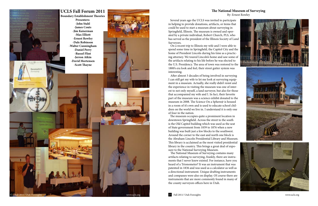

#### **The National Museum of Surveying**

By: Ernest Rowley



 Several years ago the UCLS was invited to participate in helping to provide donations, artifacts, or items that could be used to start a museum about surveying in Springfield, Illinois. The museum is owned and oper ated by a private individual, Robert Church, PLS, who has served as the president of the Illinois Society of Land Surveyors.

 On a recent trip to Illinois my wife and I were able to spend some time in Springfield, the Capitol City and the home of President Lincoln during his time as a practic ing attorney. We toured Lincoln's home and saw some of the artifacts relating to his life before he was elected to the U.S. Presidency. The area of town was restored to the 1800's era look and feel, their street gutter system was interesting.

The National Museum of Surveying contains many artifacts relating to surveying, frankly, there are instru ments that I never knew existed. For instance, have you heard of a Trionometer? It was an instrument that was patented in 1836 and was used as a calculator as well as a directional instrument. Unique drafting instruments and compasses were also on display. Of course there are instruments that are more commonly found in many of the county surveyors offices here in Utah.

 After almost 3 decades of being involved in surveying I can still get my wife to let me look at surveying equip ment in a museum. Actually, she really didn't resist and the experience in visiting the museum was one of inter est to not only myself, a land surveyor, but also for those that accompanied my wife and I. In fact, their favorite part of the museum was a science exhibit donated to the museum in 2008. The Science On a Sphere@ is housed in a room of it's own and is used to educate school chil dren on the world we live in. I understand it is only one of four in the nation.

 The museum occupies quite a prominent location in downtown Springfield. Across the street to the south is the Old Capitol building which was used as the seat of State government from 1839 to 1876 when a new building was built just a few blocks to the southwest. Around the corner to the east and north one block is the Abraham Lincoln Presidential Library and Museum. This library is acclaimed as the most visited presidential library in the country. This brings a great deal of expo sure to the National Surveying Museum.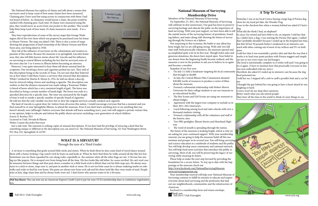The National Museum has replicas of chains and talk about a means that surveyors used to keep count of how many chains have been measured. Chaining pins I have used but using acorns in conjunction with them I had not heard of before. As chainmen would layout a chain, the point would be marked with chaining pins. Each time 10 chains were measured using the pins, they would move an acorn from one pocket to the another. This would help them keep track of how many 10 chain measurers were made - 8 to a mile.

 They have reproductions of some of the survey maps that George Washington did of the river farm which was property he purchased near his home in Mount Vernon. The map was dated 1766. There is also a series of maps showing the progression of land ownership of the Mount Vernon and River Farm area, one being dated in 1920.

 They tell of the influence of surveyors on the colonization and western expansion of this nation. Because the museum is in springfield, Lincoln's home area, they also tell little known stories about Mr. Lincoln and his influence on surveying in central Illinois including the fact that he surveyed some of the town sites for 3 or 4 towns in Illinois before becoming an attorney.

 However, I was quite interested to hear them tell about unusual land descriptions. One involving a horse and cigarettes perked my ears. They told of this description being in the records of Texas. I'm not sure that they believed me at first when I told them I knew a surveyor that retraced that description. While I worked for Martin B. Moore Jr., PLS, he told me about a description he retraced riding a horse and smoking a cigarette. The description was written so that the distance measured was made riding a Tennessee Walker (a breed of horse which has a very consistent length of gait). The horse was described as being a certain number of hands high. The horse was rode in a specified direction for a specific time. The time was measured by the length of time it took to smoke a specific number of specific brand of cigarettes.



He told me that the only variable was how fast or slow the original surveyor actually smoked each cigarette.

 The land of Lincoln is a great draw for visitors from all across this nation. I would encourage everyone that has a moment and you find yourself in or near Springfield, Illinois, to attend the museum. Even if you don't learn anything new or see anything that you haven't already seen (although I believe everyone that attends will learn something new), your visit will support a private venture that, in my opinion, helps to educate and inform the public about surveyors including a new generation of school children.

Ernest D. Rowley, PLS

Licensed in Utah, Nevada & Illinois

Weber County Recorder/Surveyor

 Just a side note: The museum is seeking copies of unusual descriptions. If you have had the privilege of retracing a deed that has something unique or different in the description you can send it to: The National Museum of Surveying, 521 East Washington Street, P.O. Box 522, Springfield, IL 62705

## **WHAT IS A SIRVAYUR?**

Through the eyes of a Third Grader

 A sirvayur is something that grubs around little sticks and stones. When he finds them he does some kind of weerd dance around them with a funny-looking 3-leg crutch wich he leans on and looks at. When he don't find them he walks around all day like he's lost. Sometimes you see them squashed by cars along rodes, espeshelly in the summer when all the other bugs are out. A Sirvaur has one big eye like popeye. He is stooped over from being bent all the time. His face looks like old lether. he cusses terribul. He can't reed cuse he measures between things and then puts down a number in a little book wich is difrint than wat his little map says. He always measures to a stick or stone, stops neer it, and puts in another stick or stone. He is not too brite cause he is always makeing marks on sidewalks and rodes to find his way home. His pants are always tore from rock salt and his shoes look like they were made of mud. People stare at him, dogs chase him and he always looks wore out. I don't know why anyone wants to be a Sirvayur.

I told her no, I stepped off a curb to sniff a poodle's butt and a car hit me.

**Did You Know:** You can now use an American Express Credit Card to pay for your UCLS membership dues or conference registration fees.

## **National Museum of Surveying Membership Drive**

Members of the National Museum of Surveying:

 On September 23, 2011, the National Museum of Surveying will celebrate its first anniversary. Our goal has been to preserve surveying heritage and educate the pubic on the importance of land surveying. With your past support, we have been able to tell the untold stories of the surveying history of presidents, founding fathers, and states along with showing the future of surveying through the Science on a Sphere.

 Not surprising in this economy, the battle to stay afloat has been tough, but we are still going strong. With only two full time staff, both practically volunteers, the museum opened and accomplished quite a lot in its first year. Though ticket sales and generous donations, the doors have stayed open. Your belief in our dream from the beginning finally became realized, and the museum is now in the position to ask you to believe in us again and become a member.

Snapshot of our first year:

- On July 13, held a fundraiser targeting the local community that brought in \$6,000. Horrified, she asked if I ended up in intensive care because the dog food poisoned me.
- In July, the Central Illinois Film Commission donated \$30,000 worth of resources to produce a series of films about the museum.
- Formed a substantial relationship with Robert Morris University for their college students to use our museum as an educational facility.
- The Boy Scouts and Girl Scouts are using our museum to obtain badges.
- Agreement with the largest tour company to include us in their 2011-2012 itineraries.
- Loyal following among local and state schools with over a thousand students visiting.
- Formed a relationship with all the volunteers and staff of the historic sites.
- Two PBS spotlights: Illinois Stories and Heartland Highway.
- The word of mouth is spreading through the nation.

 The future of the museum is looking bright, which is why we are asking for your continued support. With your membership renewal, you are going to help the museum build off this momentum and prosper in its second year. You will bring surveying and science education to a multitude of students and the public. You will help develop more community and national outreach. You will help fund more activities that introduce the public to surveying. Most of all, you will be preserving the legacy of surveying while ensuring its future.

 Please help us make the next step forward by providing the foundation for a secure future. To stay up to date with the happenings at the museum check out:

#### http://www.facebook.com/NationalSurveyingMuseum www.surveyingmuseum.org

 Your membership renewal will help your National Museum of Surveying continue to fulfill its mission to educate and inspire everyone about land surveying and the profession that laid out our neighborhoods, communities and the infastructure of American.

Enclosed is a membership form and return envelope.

### **A Trip To Costco**

Yesterday I was at my local Costco buying a large bag of Purina dog chow for my loyal pet Jake, the Wonder Dog.

- I was in the checkout line when a woman behind me asked if I had a dog.
- What did she think I had, an elephant? So since I'm retired and have little to do, on impulse I told her that no, I didn't have a dog, I was starting the Purina Diet again. I added that I probably shouldn't because I ended up in the hospital last time, but that I'd lost 50 pounds before I awakened in an intensive care ward with tubes coming out of most of my orifices and IVs in both arms.
- I told her that it was essentially a perfect diet and that the way that it works is to load your pants pockets with Purina nuggets and simply eat one or two every time you feel hungry.



The food is nutritionally complete so it works well and I was going to try it again. (I have to mention here that practically everyone in line was now enthralled with my story.)

I thought the guy behind her was going to have a heart attack he was laughing so hard.

Costco won't let me shop there anymore.

Better watch what you ask retired people.

They have all the time in the world to think of crazy things to say.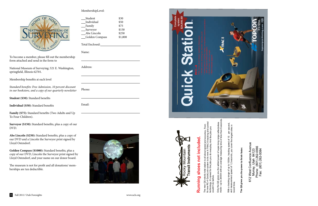

To become a member, please fill out the membership form attached and send in the form to

National Museum of Surveying; 521 E. Washington, springfield, Illinois 62701.

Membership benefits at each level

*Standard benefits: Free Admission, 10 percent discount in our bookstore, and a copy of our quarterly newsletter*

**Student (\$30):** Standard benefits

**Individual (\$50):** Standard benefits

**Family (\$75):** Standard benefits (Two Adults and Up To Four Children).

**Surveyor (\$150):** Standard benefits, plus a copy of our DVD.

## **Running shoes not included.** not included shoes Running

**Abe Lincoln (\$250):** Standard benefits, plus a copy of our DVD and a Lincoln the Surveyor print signed by Lloyd Ostendorf.

**Golden Compass (\$1000):** Standard benefits, plus a copy of our DVD, Lincoln the Surveyor print signed by Lloyd Ostendorf, and your name on our donor board.

Only the QS gives you the added power of super-long range reflectorless mode—up to 2000m with an average measuring time of less than 5

record time. record time.

The QS gives you the power to finish faster. to finish f The QS gives you the power

 $\frac{1}{26200}$ <br>(801) 262-0084 Confluer Utah Murray.  $\frac{1}{2}$ hone:<br>Fax: (8 612 West  $\Omega$ 

The museum is not for profit and all donations/ mem berships are tax deductible.

| MembershipLevel:                                                             |                                                   |
|------------------------------------------------------------------------------|---------------------------------------------------|
| Student<br>Individual<br>Family<br>Surveyor<br>Abe Lincoln<br>Golden Compass | \$30<br>\$50<br>\$75<br>\$150<br>\$250<br>\$1,000 |
| Total Enclosed:                                                              |                                                   |
|                                                                              |                                                   |

Name:

 $\overline{a}$ 

 $\overline{a}$ 

 $\overline{a}$ 

 $\overline{a}$ 

 $\overline{a}$ 

Address:

Phone:

Email:



its new RC-4 QuickLock system to its new X-TRAC 8 tracking and control The new QS robotic total station is all about speed and accuracy. From technology, it's speed for the jobs you do everyday. And the jobs you the jobs you all about speed and ac<br>its new X-TRAC 8 tracl And c total station is all about speed an<br>Lock system to its new X-TRAC 8<br>ed for the jobs you do everyday. A Only the QS gives you the added pov<br>mode—up to 2000m with an average t ock s<br>ed for t The new QS robotic to<br>its new RC-4 QuickLow technology, it's spe<br>couldn't do before. couldn't do before.

er of super-long range reflectorless<br>measuring time of less than 5 secon With a tracking range of up to 1000m, tracking speed of 15 per second, With a tracking range of up to 1000m, tracking speed of 15 per second,<br>and measurement speed of 1.2 seconds, you cover the largest sites in

and measurement speed of 1.2 seconds, you cover the largest sites in



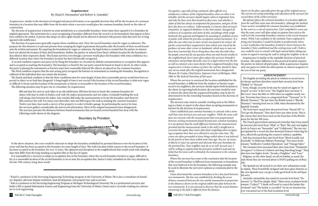#### **Acquiescence**

#### By: Knud E. Hermansen<sup>1</sup> and Robert A. Liimakka<sup>2</sup>

Acquiescence, similar to the doctrines of estoppel and practical location, is an equitable doctrine that will fix the location of a common boundary in a location that may differ from the location where a surveyor would place the common boundary based on the rules of construction.

 The doctrine of acquiescence is known in some jurisdiction as a consentable boundary. Some states have equated it to a boundary by implied agreement. The motivation for a court recognizing a boundary different from the record is to let boundaries that appear to have been settled to be settled. A person that sleeps on their rights should not be allowed to demand with passion what they have for so long ignored with indifference.

 The doctrine of acquiescence generally requires three conditions exist. First, the record boundary must be vague or unknown. The purpose for this element is to prevent persons from usurping the legal requirement that parties alter the location of their record boundaries by written instrument. By requiring the boundaries be vague or unknown, the legal fiction is created that the parties-in-interest have not altered the location of their deed boundaries. Rather, the parties-in-interest have fixed a definite location for the boundaries described in their respective deeds. This fiction survives even though a surveyor would place the boundary with some confidence in a different location than where the boundary location has been historically recognized.

 A second condition requires one party act by fixing the boundary in a location by definite monumentation or occupation that appears and is accepted as marking the boundary. The boundary so fixed by the one party cannot be based on fraud or deceit. In other words, the party in placing the monuments or barriers must have reasonably believed the objects are placed on the common boundary.

 The third condition requires that the non-acting party recognize the barriers or monuments as marking the boundary. Recognition is sufficient if the individual does not contest the location.

 The fourth and final condition is that the three conditions exist for some length of time that a reasonable person would have been expected to object or act had they disagreed. A long length of time is not crucial if the location of the record boundary is otherwise vague or difficult to locate and the location of the monuments or barrier is reasonable to the location of the record boundary. The following situation may be give rise to a boundary by acquiescence:

Bill and Jane live next to each other in an old subdivision. Bill does his best to locate the common boundary he shares with Jane in order to build a rock wall. He makes measurements and sets stakes, eventually building the rock wall along a line between the stakes. Jane watches Bill make the measurements to locate the boundary and observes Bill construct the wall. For many years thereafter, Jane and Bill respect the wall as marking the common boundary. Twelve year later, Jane needs a survey of her property in order to build a garage. In performing the survey for Jane, the surveyor gathers considerable site and record information. Most of the original monuments have disappeared. The surveyor prorates the distances between found monuments that are located several hundred feet away with the following results shown in the diagram:



 In the above situation, the court would be reluctant to adopt the boundary established by prorated distances over the location of the stone wall that has been accepted as the boundary for some length of time. The wall is located within reason to the record boundary. It has been accepted as the boundary for over 12 years. The upheaval and disruption in the neighborhood that would result with adopting lines that differ from the long standing occupation flies in the face of equity.

 It is reasonable for a surveyor to adopt an occupation line as the boundary where the record boundary location is vague, difficult to fix, or a reasonable location of the record boundary is on or near the occupation line. Justice Cooley remarked on this very situation in the late 19th century using these words.

 The English are feeling the pinch in relation to recent terrorst threats and have therefore raised their security level from 'Miffed" to "Peeved."

 Where the surveyor is convinced the location established for the record boundary is different from the markers or barriers acquiesced to by neighbors, the surveyor should report both locations to the client. In reporting both location, the surveyor would be wise to inform the client that the acquiesced boundary may in fact be determined to be the ownership boundary based on the doctrine of acquiescence.

 The surveyor may want to consider wording such as the following in a letter or report to the client when accepting monuments or barriers by the doctrine of acquiescence:

*Occupation, especially if long continued, often affords very satisfactory evidence of the original boundary when no other is attainable; and the surveyor should inquire when it originated, how, and why the lines were then located as they were, and whether a claim of title has always accompanied the possession, and give all the facts due force as evidence. Unfortunately, it is known that surveyors sometimes, in supposed obedience to the state statute, disregard all evidences of occupation and claim of title, and plunge whole neighborhoods into quarrels and litigation by assuming to establish corners at points with which the previous occupation cannot harmonize. It is often the case when one or more corners are found to be extinct, all parties concerned have acquiesced in lines which were traced by the guidance of some other corner or landmark, which may or may not have been trustworthy; but to bring these lines into discredit when the people concerned do not question them not only breeds trouble in the neighborhood, but it must often subject the surveyor himself to annoyance and perhaps discredit, since in a legal controversy the law as well as common sense must declare that a supposed boundary long acquiesced in is better evidence of where the real line should be than any survey made after the original monuments have disappeared. Thomas M. Cooley, Chief Justice, Supreme Court of Michigan, 1864- 1885 in The Judicial Functions of Surveyors shown on the plan, especially given the age of the original survey. The current surveying technology and education of the surveyor far exceed those of the earlier surveyors. My opinion places the common boundary in a location different from the wall that exists near this boundary. Although the method I have used to reestablish the common boundary was established by the court as a rule of construction, I feel compelled to warn you that the same court will often adopt occupation lines such as the wall to be the ownership boundary contrary to the record measurements. While I am confident in the methods I have employed in fixing your boundary I would be foolish to predetermine where a court would place the boundary if asked to choose between the boundary I have established and the existing stone wall. I believe you would be wise to consult with legal counsel before taking any action in regard to moving the wall or asking the neighbor to do so.* Acquiescence is similar to the equitable doctrine of practical location. The major difference is that practical location requires the parties-in-interest all participate, while acquiescence requires only one party act while the other parties-in-interest acquiesce to the acts of the one party. **ANNOUNCEMENT**

 *I have established your common boundary to coincide with a stone*  wall that exists between you and your neighbor. While the stone wall *does not coincide with the measurements that were proportioned between existing monuments found beyond your common boundary, it is my opinion that the small difference between the measurements prorated and the measurements made to the wall is insufficient to overcome the equity that courts often find compelling when recognizing occupation lines that were allowed to exist for some time. The courts are often persuaded to leave things settled when it was believed by the parties to have been settled some time ago. You are, of course, at liberty to reject my opinion and advocate that your boundary be the prorated line. Your neighbor may do so as well. In each case, I will be willing to explain both the proration method I used and my belief that the stone wall is ultimately the monument to the common boundary.* "let's get the Bastards." They don't have any other levels. This is the reason they have been used on the front line of the British army for the last 300 years. The French government announced yesterday that it has raised ts terrorist alert level from "Hide" to "Run". The only two higher levels in France are "Surrender" and "Collaborate". The rise was precipitated by a recent fire that destroyed France's white flag facory, effectively paralyzing the country's military capability. Italy has increased their alert level from "Shout Loudly and Excitedly" to Elaborate Military Posturing." Two more levels remain: "Ineffective Combat Operations" and "Change Sides." The Germans have increased their alert state from "Disdainful Arrogance" to Dress in Uniform and Sing Marching Songs." They also have two higher levels: "Invade a Neighbor" and "Lose." Belgians, on the other hand, are all on holiday as usual; the

 Where the surveyor has come to the conclusion that the location of the record boundary is different from monuments or boundaries that were believed to be the boundary, the following example may be used to illustrate the surveyor's opinion as communicated to the client: *I have determined the common boundary to be a line fixed between*  only threat they are worried about is NATO pulling out of Brussels. The Spanish are all excited to see their new submarines ready o deploy. These beautifully designed subs have glass bottoms so the new Spanish navy can get a really good look at the old Spanish navy.

*two monuments. The line was established by dividing the excess distance measured between the two nearby monuments in proportion to the distances shown on the original subdivision plan between the two monuments. It is not unusual to discover that the actual distance measuring in the field is different from the distance* Australia, meanwhile, has raised its security level from "No worries" to "She'll be alright, Mate." Three more escalation levels remain: "Crikey,!" "I think we'll need to cancel the barbie this weekend" and "The barbie is cancelled." So far no situation has ever warranted use of the final escalation level.

 Soon, though, security levels may be raised yet again to "Irritated" or even "A Bit Cross." The English have not been "A Bit Cross" since the blitz in 1940 when tea supplies nearly ran out. Terrorists have been re-categorized from "Tiresome" to "A Bloody Nuisance." The last time the British issued a "Bloody Nuisance" warning level was in 1588, when threatened by the Spanish Armada.

The Scots have raised their threat level from "Pissed Off" to

 $^{\rm 1}$  Knud is a professor in the Surveying Engineering Technology program at the University of Maine. He is also a consultant on boundary disputes, alternate dispute resolution, land development, real property law, and access law.

<sup>2</sup> Rob is a professor in the Surveying Engineering Program at Michigan Technological University. He is a professional surveyor and holds a MS in spatial Information Science and Engineering from the University of Maine, Orono and is currently working on a doctorate in civil engineering.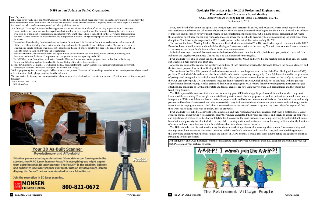**Geologist Discussion at July 20, 2011 Professional Engineers and Professional Land Surveyors Board Meeting** UCLS Executive Board Meeting Report - Brad T. Mortensen, PE, PLS September 8, 2011

 Many have heard of the complaint against the two geologists that performed a survey in the Cedar City area which reported erroneous subsidence numbers in the valley west of Cedar City. The Discussion between the Geologists and the PE & PLS Board is an offshoot of this case. The discussion however is not specific to the complaint mentioned above, but is a more general discussion about where the disciplines might have overlapping responsibilities, and where the line should eventually be drawn separating the practices of these disciplines. The following is a report of the UCLS participation in this initial discussion on July 20, 2011:

 The week of the Board Meeting Michael Nadeau and Brad Mortensen contacted Von Hill to ask what type of representation the UCLS Executive Board should present at the scheduled Geologist Discussion portion of the meeting. Von said that we should have a presence at the meeting but that it should be only about one or two representatives.

 Mike had meetings scheduled that conflicted with the time of the discussion, but Brad's schedule was open, so Brad contacted Dale Robinson the Legislative Committee Chair to see if he could attend the meeting also. Brad and Dale were able to attend the Board Meeting representing the UCLS and arrived at the meeting around 10:15 am. The Geologist Discussion Item started after 10:30 am.

 Attached is a copy of the agenda; the legislative definitions of each discipline provided by Richard J. Osborn the Bureau Manager; and the two items presented by the State Geologist Rick Allis.

 The two issues that Rick Allis presented in the discussion were first that the powers and duties of the Utah Geological Survey (UGS) per State Code include "(b) collect and distribute reliable information regarding...topography...", and (e) determine and investigate areas of geologic and topographic hazards that could affect the safety of, or cause economic loss to, the citizens of the state"; and second that the UGS uses survey grade GNSS instruments to gather data for scientific analysis, which should not be confused with the practice of professional land surveying. He also presented draft waiver language for UGS reports that involve topographic measurements (see attached). He continued to say that other state and federal agencies are now using survey grade GPS technologies and that this is the trend going forward.

 Von Hill expressed the concerns that when one uses survey grade GPS technology the professional should know when they don't know what they are doing. For example when establishing vertical control of a large project a prudent professional should know how to interpret the NGS control data and how to make the proper checks and balances between multiple datum from federal, state and locally perpetuated bench marks observed. Mr. Allis expressed that they had removed the study from the public access and are hiring a Professional Land Surveying company to check their survey so they can revise it and present it again to the client. They also expressed that their work has nothing to do with boundary lines or properties.

 Brad and Dale were asked to contribute to the discussion, and they responded with their concerns that when a professional is using geodetic control and applying it to a scientific study they should understand the proper procedures and checks to assure the proper use and adjustment of vertical as well as horizontal data. Brad also raised the issue that our concern in protecting the public did not stop at boundaries and property lines but included the use of determining vertical and horizontal control for topographies and/or the locations of natural and man made features on the face of the earth or near the surface of the earth.

 Von Hill concluded the discussion reiterating that the true mark of a professional is knowing when you don't know something and finding a consultant to assist in those areas. Then he said that we should continue to discuss this issue, and reminded the geologists that they were a relatively new licensure under the control of DOPL and that it would take some time to refine the legislation and rules pertaining to their profession.

**Did You Know:** The UCLS historical committee is gathering older surveying pictures for their 2012 calendar and would like your support. Please email your pictures to Susan.



#### Good Day to All,

 It has been seven weeks since the ACSM Congress voted to disband and the NSPS began the process to create a new "unified organization" that would represent the broad definition of the "Professional Surveyor". Many of you have asked if anything has been done to begin this process. Let me tell you what has been accomplished and what goals have been set.

- 1. A Strategtic Planning Committee has been appointed to conduct a financial analysis of our existing organizations and make rec ommendations for new membership categories and rates within the new organization. The committee is comprised of representa tives from all of the member organizations and chaired by Pat Smith (TX), Chair of the NSPS Board of Governors. This committee has been asked to complete its mission by the end of September to enable a budget to be prepared and dues notices for next year to be mailed.
- 2. The combined Membership Committee/Member Benefits Committee/ Pubic Relations Committee has been directed to review all of the current benefits being offered to the membership to determine the perceived value of these benefits. They are to recommend what benefits should continue, what needs to be modified or discarded, or new benefits that need to be added. They too have been asked to complete their study by the end of September.
- 3. Executive Director Curt Sumner and staff had a preliminary discussion with our accounting firm of Gelman, Rosenburg, and Freedman to discuss the financial impacts or our reorganization and the reporting to the IRS.
- 4. The NSPS Executive Committee has directed Executive Director Sumner to request a proposal from the law firm of Weinberg, Jacobs, and Tolani for legal services related to the combining of the affected organizations.
- 5. The NSPS Executive Committee is waiting for the final financials from the Survey Summit to determine what financial steps will be necessary to complete the current fiscal year and plan the 2012 budget.

 Work is progressing. We are working at a deliberate pace as we proceed. There are still many things to do before we can complete our objective and we do not want to blindly plunge headlong into the unknown.

 We have started the journey to a new organization where we want all professional surveyors to be a member. We ask for your continued support. Sincerely,

 Bill Coleman, PLS GISP NSPS President



#### **NSPS Action Update on Unified Organization**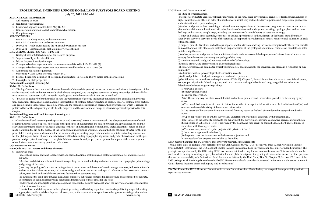#### **PROFESSIONAL ENGINEERS & PROFESSIONAL LAND SURVEYORS BOARD MEETING July 20, 2011 9:00 AM**

#### **ADMINISTRATIVE BUSINESS:**

- 1. Call meeting to order
- 2. Sign travel reimbursement
- 3. Review and approve minutes dated May 18, 2011
- 4. Consideration of option to elect a new Board chairperson
- 5. Compliance report

#### **APPOINTMENTS:**

- 1. 9:20 A.M. R. Craig Brown, probation interview
- 2. 9:40 A.M. Lance Mackie, probation interview
- 3. 10:00 A.M. Andy Li, requesting the PE exam be waived in his case
- 4. 10:15 A.M. Clayton McFall, probation interview, confirmed

#### **DISCUSSION ITEMS: 10:30 A.M. - 12:00 P.M.**

- 1. Geologist uses of GPS technologies for research purposes
- 2. Suspension of Lynn Bernhard license
- 3. Wayne Jeppson, investigation report
- 4. Changes to land surveyor education requirements established in R156 22-302b (2)
- 5. Changes to land surveyor experience requirements established in R156 22-302c (4)
- 6. Continuing education requirement
- 7. Upcoming NCEES Anual Meeting, August 24-27
- 8. Proposed change to definition of "recognized jurisdiction" in R156 22-102(9), tabled at the May meeting
- 9. Lien rights on state properties

#### **Professional Geologist Licensing Act**

#### **58-76-102. Definitions.**

 (2) "Geology" means the science, which treats the study of the earch in general, the earth's processes and history, investigation of the earth's crust and rocks and other materials of which it is composed, and the applied science of utilizing knowledge of the earth's his tory, processes, constituent rocks, minerals, liquids, gases, and other materials for the use of mankind.

 (3) "Practice of geology before the public" means the performance of geology including but not limited to consultation, investiga tion, evaluation, planning, geologic mapping, interpretation of geologic data, preparation of geologic reports, geologic cross-sections and geologic maps, inspection of geological work, and the responsible supervision thereof, the performance of which is relevant to public welfare or the safeguarding of life, health, property, and the environment, except as otherwise specifically provided in this chapter.

#### **Professional Engineer and Land Surveyor Licensing Act**

#### **58-22-102. Definitions.**

 (11) "Professional land surveying or the practice of land surveying" means a service or work, the adequate performance of which requires the application of special knowledge of the principles of mathematics, the related physical and applied sciences, and the relevant requirements of law for adequate evidence to the act of measuring and locating lines, angles, elevations, nature and man made features in the air, on the surface of the earth, within underground workings, and on the beds of bodies of water for the pur pose of determining areas and volumes, for the monumenting or locating property boundaries or points controlling boundaries, for the platting and layout of lands and subdivisions of lands including topography, alignment and grade of streets, and for the pre paration and perpetuation of maps, record plats, field notes records, and property descriptions that represent theses surveys and other duties as sound surveying practices could direct.

#### **UGS Powers and Duties**

#### **State Code 79-3-202. Powers and duties of survey.**

(1) The survey shall:

(a) assist and adivse state and local agencies and state educational institutions on geologic, paleontologic, and mineralogic subjects;

(b) collect and distribute reliable information regarding the mineral industry and mineral resources, topography, paleontology, and geology of the state;

(c) survey the geology of the state, including mineral occurrences and the ores of metals, energy resources, industrial minerals and rocks, mineral-bearing waters, and surface and ground water resources, with special reference to their economic contents, values, uses, kind, and availability in order to facilitate their economic use;

(d) investigate the kind, amount, and availability of mineral substances contained in lands owned and controlled by the state, to contribute to the most effective and beneficial administration of these lands for the state;

(e) determine and investigate areas of geologic and topographic hazards that could affect the safety of, or cause economic loss to, the citizens of the state;

(f) assist local and state agencies in their planning, zoning, and building regualtion function by publishing maps, delineating appropriately wide special earthquake risk areas, and, at the request of state agencies or other governmental agencies, review 22 Fall 2011/ Utah Foresights www.ucls.org the siting of critical facilities;

(g) cooperate with state agencies, political subdivisions of the state, quasi-governmental agencies, federal agencies, schools of higher education, and others in fields of mutual concern, which may include field investigations and preparation, publication, and distribution of reports and maps;

- (h) collect and preserve data pertaining to mineral resource exploration and development programs and construction activities, such as claim maps, location of drill holes, location of surface and underground workings, geologic plans and sections,
- (i) study and analyze other scientific, economic, or aesthetic problems as, in the judgment of the board, should be under-
- taken by the survey to serve the needs of the state and to support the deveolpment of natural resources and utilization of lands
	-
	-
	-
	-
	-

drill logs, and assay and sample maps, including the maintence of a sample library of cores and cuttings; withing the state;

(j) prepare, publish, distribute, and sell maps, reports, and bulletins, embodying the work accomplished by the survey, directly or in collaboration with others, and collect and prepare exhibits of the geological and mineral resources of this state and interpret their significance;

(k) collect, maintain, and preserve data and information in order to accomplish the purposes of this section and act as a repository for information concerning the geology of this state; (l) stimulate research, study, and activities in the field of paleontology; (m) mark, protect, and preserve critical paleontological sites; (n) collect, preserve, and administer critical paleontological specimens until the specimens are placed in a repository or curation facility;

(o) administer critical paleontological site excavation records; (p) edit and publish critical paleontological records and reports; and (q) by following the procedures and requirements of Title 63J, Chapter 5, Federal Funds Procedures Act, seek federal grants, loans, or participation in federal programs, and, in accordance with applicable federal program guidelines, administer federally funded state programs regarding:

- (i) renewable energy;
- (ii) energy efficiency; and
- (iii) energy conservation.

 (2) (a) The survey may maintain as confidential, and not as a public record, information provided to the survey by any source.

 to maintain the confidentiality of the accepted information. source.

- (b) The board shall adopt rules in order to determine whether to accept the information described in Subsection (2)(a) and
- (c) The survey shall maintain information received from any source at the level of confidentiality assigned to it by the
- (3) Upon approval of the board, the survey shall undertake other activities consistent with Subsection (1).
- (4) (a) Subject to the authority granted to the department, the survey may enter into cooperative agreements with the en tities specified in Subsection (1)(g), if approved by the board, and may accept or commit allocated or budgeted funds in
	-
	-
	-

connection with those agreements.

 (b) The survey may undertake joint projects with private entities if: (i) the action is approved by the board;

- (ii) the projects are not inconsistent with the state's objectives; and
- (iii) the results of the projects are available to the public.

**Draft Waiver Language for UGS reports that involve topographic measurements** "While some types of geologic work performed by the Utah Geologic Survey (UGS) use survey grade Global Navigation Satellite System (GNSS) instruments, the UGS does not employ licensed Professional Land Surveyors, nor does it perform land surveying. The geologic work performed by the UGS using GNSS instruments is intended only for use in scientific analysis. This work should not be used for determining or locating property boundaries, for land plats, for alignment or grading of roads, or for any of the other purposes that are the responsibility of a Professional Land Surveyor, as defined by the Utah Code, Title 58, Chapter 22, Section 102. Users of the UGS geologic work involving data collected with GNSS instruments should consider above stated limitations and the errors inherent in GNSS-derived locations before making any land-use decisions."

**Did You Know:** The UCLS Historical Committee has a new Committee chair. Kevin Bishop has accepted the responsibility and will replace Scott Peterson.

USGS Powers and Duties continued: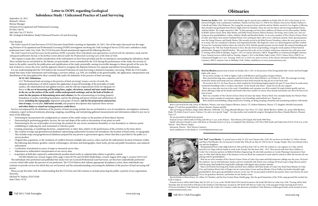### **Letter to DOPL regarding Geological Subsidence Study / Unlicensed Practice of Land Surveying**

September 16, 2011 Richard J. Oborn Bureau Manager Division of Occupational and Professional Licensing PO Box 146741 Salt Lake City, UT 84114 RE: Geological Subsidence Study/Unlicensed Practice of Land Surveying

#### Dear Richard:

 The Utah Council of Land Surveyors (UCLS) Executive board held a meeting on September 10, 2011. One of the topics discussed was the ongoing Division of Occupational and Professional Licensing (DOPS) investigation involving the Utah Geological Survey (UGS) and a subsidence study preformed near Cedar City, Utah. The UCLS Executive Board unanimously approved the following directive:

 *The Utah Council of Land Surveyors hereby petitions DOPL to penalize those individuals and organizations involved with the subsidence study and the subsequent publication thereof, to the farthest extent allowed under the Professional Licensing Laws of the State of Utah.*

 This request is made after careful consideration of the information we have been provided and the circumstances surrounding the Subsidence Study. These include but are not limited to: the blatant, yet preventable, errors committed by the UGS during the performance of the study; the severity of harm to the public caused by the publication and republication of the study, potentially causing irreversible damages to future growth of the area; the lack of desire to correct the error; and the apparent refusal to recognize the disparity between two separate and distinct licensed professions.

 It is our understanding that the UGS believes the Licensed Profession of Land Surveying is limited to boundary surveying. While the UCLS understands that some of the instruments and technology a surveyor utilizes, e.g. GPS, are available to the general public, the application, interpretation and distribution of the data gathered by these certainly falls under the definition of the practice of land surveying:

#### **58-22-102. Definitions.**

(11) "Professional land surveying or the practice of land surveying" means a service of work, the adequate performance of which requires the application of special knowledge of the principles of mathematics, the related physical and applied sciences, and the relevant requirements of law for adequate evidence to **the act of measuring and locating lines, angles, elevations, natural and man-made features in the air, on the surface of the earth, within underground workings, and on the beds of bodies of water for the purpose of determining areas and volumes,** for the monumenting or locating property boundaries or points controlling boundaries, and for the platting and layout of lands and subdivisions of lands, **including the topography,** alignment and grades of streets, **and for the preparation and peretuation of maps,** record plats, **field notes records,** and property descriptions that represent these surveys **and other duties as sound surveying practices could direct.**

 Services encompassed by the definition of the practice of land surveying include, but are not limited to, acts of consultation, investigation, testimony evaluation, expert technical testimony, planning, mapping, assembling, and interpreting gathered measurements and information related to any one or more of the following:

- Determing by measurement the configuration or contour of the earth's surface or the position of fixed objects thereon
- Determining by performing geodetic surveys, the size and shape of the earth or the position of any point on earth
- Determining by the use of principles of surveying, the position for any survey monument (boundary or non-boundary) or reference point; establishing or replacing any such monument or reference point
- Creating, preparing, or modifying electronic, computerized, or other data, relative to the performance of the activities in the items above.
- The creation of maps and georeferenced databases representing authoritative locations for boundaries, the location of fixed works, or topography. This includes maps and geogreferenced databases prepared by any person or government agency where that data is provided to the public as a survey product.
- Original data acquisition, or the resolution of conflicts between multiple data sources, when used for the authoritative location of features within the following data themes: geodetic control, orthoimagery, elevation and hydrographic, fixed works, private and public boundaries, and cadastral information.
- Certifcation of positional accuracy of maps or measured survey data.
- Adjustment or authoritative interpretation of raw survey data.
- Acquisition of field data required to authoritatively position fixed works or cadastral data relative to geodetic control.

(NCEES Model Law, revised August 2010, page 4, lines 69-92) and (NCEES Model Rules, revised August 2010, page 5, section 210.25 (A)) The individuals who performed and published this study were not Licensed Professional Land Surveyors, yet they have undoubtedly performed a service which falls under the purview of our profession. The UCLS believes that without appropriate disciplinary action, these individuals may continue to provide services for which they are not licensed, and the misunderstanding concerning the definition of the practice of land surveying will persist.

 Please accept this letter with the understanding that the UCLS has and will continue to include protecting the public a priority of our organization. Sincerely,

Michael W. Nadeau, PLS/CFedS State Chair, UCLS



## **Obituaries**

**Pamela Sue Beitler** 1948 - 2011 Pamela Sue Beitler, age 63, passed away suddenly on Friday, July 29, 2011 at her home in Cottonwood Heights, from a pulmonary embolism. Pamela was born June 23, 1948 in Des Moines, Iowa to her Mother Darlene G. Cadwell and Father Glen Pederson. Her young life was spent in Iowa until she and her Mother moved to Los Angeles, California. Pam attended and graduated from Hoover High School in Glendale, where she met her future and surviving husband Dennis Anthony Beitler. The couple married in 1967. To this marriage was born three children, all whom survive their mother: Shelley Jo Beitler (James Graef), Brett Allen Beitler, and Holly Denise Kastner (Haven Kastner). Surviving: sister Linda Carr. Also surviving are four grandchildren: Colton, Ashlynn, Bradly and Brenden Beitler. As an active member of The Church of Jesus Christ of Latter-day Saints, Pam and her husband Denny were waiting for their call to serve a Mormon mission. Pam's special passions were the Young Women, and Family History. She recently served in the Relief Society Presidency where she was a great service to so many. She was considered a dynamic and inspirational leader. She began her career as a dental hygienist and later worked 10 years for Continental Airlines where she retired in 2010. Pamela's greatest passion was her family. She enjoyed attending and officiating in the 75th Year Family Reunion in Iowa. She also loved scrap booking. Living the words spoken of Pam's beloved grandmother Margaret Cadwell Schultze, "She spent her life in the service of others and heaven welcomes her with open arms." A viewing will be held on Monday, August 1, 2011 at Cannon Mortuary, 2460 E. Bengal Blvd, in Cottonwood Heights, between 6 p.m. Funeral services will be held on Tuesday, August 2, 2011 at the Butler Stake Center, 7035 S. Nutree Drive (3300 E.) in Cottonwood Heights at 11 a.m. Viewing: 10:00 a.m. to 10:45 a.m. prior to service at the church. Interment: Holladay Memorial Cemetery, 4900 S. memory Lane in Holladay, Utah. Online condolences at www.cannonmortuary.com

**Brett Jay Blechert** passed away at home on Sunday, July 3, 2011 in the presence of his loving family after a brave and hard fought

battle with cancer.

 He was born October 19, 1958 in Ogden, Utah to Dell Blechert and Jacqueline (Geiger) Nielsen. Brett married his long-time companion and best friend, JoLyn Marie Blechert, on October 22, 2010. The marriage was long awaited by family and friends and was celebrated at their home beneath the big ash tree in the back yard.

 He served in the U.S. Air Force Reserves. Brett worked for Great Basing Engineering for the past 33 years where he made many wonderful friendships with co-workers and clients. To his friends and clients - thank you for all your support.

 Brett was a man who was true to his word. A handshake and a promise was all he needed. He made friends quickly and was always offering to help out his family and friends when they needed. In return, those friends and family were there for him in his

time of need.

 Brett was a member of The Church of Jesus Christ of Latter-day Saints, Warren Ward. Our extended family, the Warren Ward, has been a great example of community support, true friendships and brotherly love. Thank you. Brett enjoyed snowmobiling, riding motorcycles, boating, jet skiing, keeping a beautiful yard and playing outdoors with family.

 Brett is survived by his wife, JoLyn M. Blechert, Warren, sons Sean (Dupree) Blechert, Sunset, UT; Nathan Hathaway, Warren, UT; daughter Michelle Sausameda, Magna, UT and four grandchildren, Alexus, Stormie, Daxton and Ella.

 Also surviving are brothers, Roger (Julie) Blechert, Wellsville, UT; Doug (Brenda) Blechert, Farr West, UT; Chad (Beth) Blechert, Mobile, AL; sisters Debi Blechert, Buda, TX; Jolette (Larry) Larsen, Ventura, CA; and a very special "Angel" - his step-mother and wonderful caregiver throughout his illness, Maudie Blechert, Pleasant View, UT.

He was preceded in death by his parents.

 Funeral services will be held on Friday, July 8th at 11 a.m. at the Warren - West Warren LDS Chapel, 856 North 5900 West. Family welcomes friends to meet with them on Thursday from 6 to 8 p.m. at Lindquist's Roy Mortuary, 3333 West 5600 South and Friday from 9:45 to 10:45 a.m. at the Warren - West Warren Chapel.

Interment, Warren - West Warren Cemetery.

Send condolences to the family at : www.lindquistmortuary.com



son and two daughters.

playing with his grandchildren.

Gerry, his grandson, Bronson, and brother-in-law Stanley Crane.

 Special thanks to Marie Prince, Dr. Alfaro, Dr. Hendrix, and the Iron County Home Health gang. Also the good Samaritans of the Te'Ha camp ground that worked tirelessly to help us.

southernutahmortuary.com.



Funeral services will be held Friday, July 29, 2011 at 11 a.m. at the 7th/9th Ward LDS Church located at 256 South 900 West in Cedar City, Utah. Viewing will be held Thursday, July 28, from 6:00 to 8:00 pm at the Southern Utah Mortuary, located on 190 North 300 West in Cedar City, Utah and again Friday morning from 9:30 to 10:30 am at Southern Utah Mortuary. Interment in the Cedar City Cemetery under the direction of Southern Utah Mortuary. Online guest book can be located at www.

**Neil "Bud" Leroy Rhodes**, 72, passed away on July 23, 2011 near Navajo Lake, Utah. He was born on October 13, 1938 to Alvetta and Harry Neil Rhodes. He was married to Emily Mae Wilcock on May 29, 1959 in the St. George Temple. They were blessed with a

Bud graduated from Cedar High School in 1956 and then from CSU in 1959. He worked as a city engineer in Cedar until he moved to Las Vegas with his family to work at the Nevada Test Site from 1963 - 1973. They moved with their three children to Cedar City to become partners in Bulloch Brothers Engineering. He also held a position as County Planning Commission Chairman. In 1994, Bud sold his share of the business to his son Brad, but continued to work until he retired in 2008. His favorite job was

Bud was an active member of the Church of Jesus Christ of Latter-Day saints and held numerous callings over the years. He loved the outdoors, was an avid fisherman, hunter, and was wonderful with Dutch oven cooking. He loved to go to Hogs Heaven and be with the gang. Bud handled his long health challenges with dignity and a positive attitude.

Bud is survived by his loving wife, Emily and their three children: Jill (Paul) Snyder of Cedar City, Brad (Nan) Rhodes of Cedar City, and Gaylynn (Kurt) Gale of Draper, his two sisters Janice Crane and Jean Rhodes (Vern) Fridley, his brother Kendall, eight grandchildren, three great-grandchildren and one on the way. He was preceded in death by his parents, Harry and Alvetta, his sister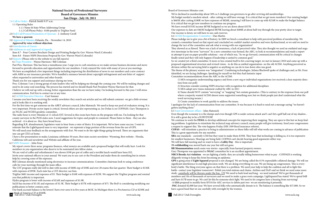**National Society of Professional Surveyors Board of Governors Minutes San Diego - July 10, 2011**

#### 1.0 Call to Order - Patrick Smith 9:37 a.m.

1.1 Operating Rules

1.1.1 Name & State When Addressing Group

1.1.2 Cell Phone Policy -\$100 penalty to TrigStar Fund

2.0 Roll Call/Proxies/Declaration of Quorum - J. Anthony Cavell

#### **We have a quorum**

3.0 Approval of Minutes Orlando, Fla. - November 14, 2010

#### **Approved by voice without objection**

4.0 Introduction of Guests

#### 5.0 Additions to and Approval of Agenda

 Item 8.7 - Four Corners Brochure Design and Printing Budget by Gov. Warren Ward (Colorado) Item 8.8 - Future NSPS Directions Proposal by Gov. Warren Ward (Colorado)

6.0 Reports (Please refer to the website to see full reports)

6.1 Nsps President - Wayne Harrison / Bill Coleman

 Past Pres. Harrison: This has been a tumultuous year. I urge you to curb emotions as we make serious business decisions and move forward to provide education and opportunities for our members. I truly enjoyed the visits with many of you at you meetings. We have accomplished a few important things including improving the distribution of news to our members and a new contract with ARM as our insurance provider. We've handled a nuisance lawsuit about copyright infringement and sent letter of support when requested to universities and other boards.

Thank you for you support and assistance during my term.

 Pres. Coleman: I see a strong group of state leaders who will be helping me through the coming year. We will be making changes and need to do some soul searching. The process has started and we should thank Past President Wayne Harrison for that. I believe we will end up with a strong, better organization than the one we have today. I'm looking forward to this year. I will stress communication. Feel free to contact me at any time.

6.2 ACSM Executive Director - Curt Sumner

 I assume you have been receiving the weekly newsletter they search out articles and we still submit contenet- we get a little revenue and it looks like it is working well.

 For the first time we got someone on the ABET advisory council, John Matonich. We need to keep our pool of evaluators strong. It is very important. Private sector input is critical. Several others are also representing us. Joe Dolan is on COFPAES. Gary Thompson is on NGAC and NCEES geodetic committee.

 Our bank account balance is the lowest I have ever seen it in five years at \$61K. In Michigan there is a ProAmerica CD at \$250K and a Bank of America CD at \$560K.<br>
26 Fall 2011/ Utah Foresights www.ucls.org

 The radio hour is every Monday at 11 o'clock EST. Several in this room have been on the program with me. I'm looking for that county surveyor in the PLSS states now. I need suggestions for topics and people to comment. Please listen to them - they are also archived - it is about us- they have broad focus.

 Regarding R.R. abandonment, legislators want to hear from a voter of theirs. It is important. We've have some success. I want to reiterate that the LightSquared issue is very important - we represent a large portion of the revenue from the use of GPS. We will need your feedback on the arrangements with Esri. We want to do the right things going forward. There are arguments that one can get CEUs at home.

 I have a few presentation to make; Louisiana celebrates 50 years, Best state society newsletter- Wyoming, Best website - Florida, California web and newsletter and Website and affiliate of the year.

6.3 NSPS Treasurer - John Fenn

 My report covers three areas: programs finances, what moneys are available and a proposed budget that will really hurt. Look for members in you organization who deserve to be nominated into fellow status.

We are void of coffee and refreshments I was shown \$190 per pot of coffee and a terrible lunch would have been \$52.

 Invite your national officers to your annual. We want you to use curt or the President and make them do something but in return help by covering some of the expenses.

 Bill Coleman already mentioned using electronics to increase communications. Committee chairman look to using conference calls for your meetings through the main office.

 The CST program really did well to date with income of \$40K exp of \$30K and over 20 exams this last quarter. Their budget is \$136K with expenses of \$95K. Each state has a CST director; use him.

We continue to work the FEMA to develop additional concepts for improving their mapping. They are open to this but we keep find ing problems. Legislation to reinstitute the technical map advisory council, many people will give testimony. Send your congressmen a request to support this. The vote happens Friday (HR 1309 flood insurance reform). **COFAS** - will reinstitute a practice to bring in administrators so these folks will tell what works are coming in advance of publication This is a great opportunity for any member.

 TrigStar \$681 income and expenses of \$5. Their budget is \$16K with expenses of \$25K. We support the TrigStar program and remind you that publicity is important.

Hydro program is lower with income of \$2.6K and expenses of \$1.9K.

 SaLIS has income of \$3.1K and expenses of \$1.5K. Their budget is \$37K with expenses of \$75. The BoD is considering modifying our publications to better contain costs.

 We've declined in membership about 30% so I challenge you governors to go after reviving old memberships. My budget needed a machete attack - after cutting we still have overage. It is critical that we get more members! Our existing budget is \$665K after cutting \$180K we have expenses of \$826K, meaning I still have to come up with \$216K to make the budget balance. It is critical that we get new members to continue our progress. We have overall \$531K income \$870K budgeted so we are down about \$357K Our expenses to date are \$463K budgeted \$870K leaving about \$400K at about half way through the year pretty close to target. Our income is down; we will have to use cash reserves. 6.4 ACSM Reorganization Committee - Dan Martin

 Please indulge me to give you a bit of history. In 2009 we hired a consultant to help with perceived problem of membership. We created a committee based on that report and concluded we couldn't market ourselves and were dysfunctional, so we said we need to change the tact of the committee and ask what is wrong with our organization? They showed us as flawed. There was a lack of awareness, a lack of perceived value. They also thought we used an outdated and nega tive stereotype in the term "surveyor." So a new committee was formed, the ARC, to look at recommendations and made a report in attempt to put on paper possible solutions - one of which was, "As we go forward, communication will be critical to changes finally noted and they will only happen if leadership is united to common goal." So we created yet a third committee. It more or less created itself to hit a moving target, we met in January 2010 and came up with a proposed organizational structure and revised vision - to do this as unified organization- no the old ACSM. Anything perceived as division within the surveying field is negative so anything we can do to tear down silos was good. The theme of the plenary session was "integration"; Combining technologies. Juliana Blackwell spoke of challenges and, as Mr. Fenn identified, we are facing challenges. Speaking for myself we feel they had fantastic input Committee recommendations from the ARC to the ACSM:

1) MOs reorganize understanding urgency and form a new org or individual organizations (we received a clear majority direc-

tion from our poll)

2) Structure consider existing NSPS structure with recognition for additional disciplines

3) MOs adopt new vision statement crafted by ARC in 2011 4) Name should NOT contain "surveying" or "mapping" but contain geomatics. (This is contrary to the response from our poll where a majority wanted ACSM almost none supported something new, but we think people just don't understand what the word surveying means.)

5) Create committees to work quickly to address the issues. I apologize for the lack of communication from our committee. It was because it is hard to send out a message saying "we haven't gotten anything done."

6.5 Joint Government Affairs - John Matonich

 Even though the economy is n the dumps and even though GPS is under serious attack and I can't hit a golf ball out of my shadow... It is still a great day to be a SURVEYOR!

 **SBA** size standards - currently 4.5M but they want to make them \$19M. They hear that technology is killing us, it is too expensive for smallest businesses. Hearings are being held. COFPAS can't decide hearing good arguments either way. We will have fall meeting and we want to have a **Lobby Day** - this is important. **3% withholding** was moved back one year but still not gone. **RR Monumentation** needs some war stories- especially from harmed property owners. Gary Thompson was appointed to **NGAC** committee he is an excellent appointment. **NRCS Brooks Act violation** - we are fighting a battle. they are actually telling homeowner what to pay - COFPAES is working diligently trying to keep this from becoming an epidemic. **GPS** is going away if **Light Squared** proposal is not changed. We are being called the 0.5% expendable collateral damage. We will see significant interference to end high precision work. We are doing everything we can. We are lining up congressmen. This is every body's battle. The thing everyone agrees on that there is a problem. We need your help to help the coalition and all to fight this battle- contact your legislator tomorrow!- Polish you total stations and chains. Airlines and DoD said we think we need some more study- somebody will be thrown under the bus...US! We need to bark loud and long - we need national! We've got thousands of members and 10s of thousands of surveyors and we need to make a grass roots campaign. LighSquared has stated: We've spend \$4B and have \$17B more to go. We can't let this be someone else's fight. We need to let congress have a hearing from surveying! -A **GSA** proposal to modify form SF334 for AEC services to delete part two- we are monitoring it presently. -**PAC** donated \$2,000 last year. We have several folks who automatically donate to it. The balance is something like \$37,000. So we have a good fund that we use carefully with oversight by the trustees.

Board of Governors Minutes cont.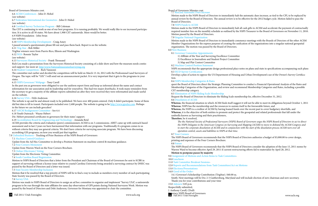6.6 ACSM Conferences - John D. Hohol

(see website)

6.7 Federation International des Geometres - John D. Hohol

(see website)

6.8 Certified Survey Technician Program - Bill Coleman

 The CST is continuing to work as one of our best programs. It is running profitably. We would really like to see increased participa tion. It is active in all 50 states. We have about 1,900 CST nationwide. More would be better.

6.9 NSPS Foundation - John Swan

(see website)

6.10 NSPS Membership Development - Craig Amey

I passed around a questionnaire please fill out and pass them back. Report is on the website.

6.11 Trig-Star - Bob Miller

TrigStar winners were from Puerto Rico, Illinois and Washington

6.12 NGS- Ronnie Taylor

(see website)

6.13 Surveyors Historical Society - Frank Thousand

 Rich Leu made a presentation from the Surveyors Historical Society consisting of a slide show and how the museum needs contin ued support. See more at: http//www.Nationalmuseumofsurveying.org

#### 6.14 Student Competition - Rich Vannozzi

 The committee met earlier and decided the competition will be held on March 13-16, 2012 with the Professional Land Surveyors of Oregon. The topic will be "GIS." I will send out an announcement packet. It is very important that it gets to the programs in your states.

#### 6.15 NSPS Governors' Webpage - Tony Cavell

 In the past you as governors were obligated to use the uniform report form and keep us informed about the name and contact information for our association and its leadership and for yourselves. This had two major drawbacks. It took many reminders from the secretary to get a majority of the affiliate reports submitted an after they were received they were reformatted and made useful on the website.

#### 6.16 Survey USA - Debi Anderson

 The website is up and lie and almost ready to be published. We have over 400 points entered. Only 8 didn't participate. Some of them did but data is till in transit. Participants included over 2,400 people. The website is going to be http://www.gpsday.com. Perhaps in the future we can include geocahes!

6.17 ASCM Realignment Committee - See 6.4

6.18 Youth Outreach - Wayne Hebert

Dir. Hebert presented certificates to governors for their states' support.

6.19 Accreditation Board for Engineering and Technology - Amanda Reid

 ACSM provides the criteria and evaluators (peers) commissioners ACSM is on 3 commissions. ABET came up with outreach based assessment and in last 2 years we have harmonized that information with our programs. Traditionally if a program comes to us without criteria they may use general criteria. We don't have criteria for surveying associate program. We have been discussing accrediting GIS programs; on how you would put that together.

7.0 Unfinished Business - Tracking of Prior Business of the NSPS Board of Governors

7.1 Machine Control/Guidance

Update from the Ad Hoc Committee to develop a Position Statement on machine control & machine guidance.

7.2 Four Corners Monument

Update from Warren Ward on the Four Corners Brochure.

7.3 Online (Electronic) Voting

Update from the Electronic Voting Committee.

7.4 South Carolina Board Registration

 Motion to NSPS Board of Directors that a letter from the President and Chairman of the Board of Governors be sent to SCBR in support of surveying without a license issue relative to coastal Carolina University being awarded a surveying contract by DHEC was passed by the Board of Directors and a letter was issued.

#### 7.5 State Society Membership Inclusion

 Motion that it be resolved that a top priority of NSPS will be to find a way to include as members every member of each participating State Society was passed by the Board of Directors.

#### 7.6 Survey USA

֦

 Motion was made to NSPS Board of Directors to assign an ad hoc committee to organize and implement "Survey USA", a nationwide program to be run through the state affiliates for same day observation of GPS points during National Surveyors Week. Motion was passed by the board of Directors and Debi Anderson, Governor for Montana was appointed to chair the committee.

Board of Governors Minutes cont.

## Board of Governors Minutes cont.<br>7.7 Rescind Automatic Dues Increase

 Motion made to the NSPS Board of Directors to immediately halt the automatic dues increase, as tied to the CPI, to be replaced by annual review by the Board of Directors. The annual review is to be effective for the 2012 budget cycle. Motion failed to pass the Board of Directors.

#### 7.8 NSPS Funds to ACSM

 Motion made to the NSPS Board of Directors to immediately halt all cash gifts to ACSM and accelerate the payment of contractually required member fees on the monthly schedule as outlined by the NSPS Treasurer to the Board of Governors on November 11, 2010. Motion passed by the Board of Directors.

#### 7.9 Singular National Organization

 Motion made in the NSPS Board of Directors to immediately commence meetings with the Boards of Directors of the other ACSM Member Organizations for the express purpose of creating the unification of the organizations into a singular national geospatial organization. The motion was passed by the Board of Directors. 8.0 New Business

#### 8.1 Governor Committee Appointments

- 1) Affiliate of the Year and Surveying Excellence Committee
- 2) Excellence in Journalism and Student Project Committee
- 3) Map and Plat Contest Committee
- 8.2 Machine Control Position Statement

 NSPS recommends that the appropriate design professional place notes on plans and state in specifications accompanying such plans 8.3 HUD Survey Certification

 Develop a plan of action to oppose the US Department of Housing and Urban Development's use of the Owner's Survey Certifica tion.

#### 8.4 NSPS Membership Categories & Rates

 quest the Board of Directors direct the Strategic Planning Committee to conduct a Financial Operational Analysis of the Rates and Membership Categories of the Organization, and review and recommend Membership Categories and Rates, including a possible CST membership category.

8.5 Elimination of NSPS Sliding Scale Membership

 Request the Board of Directors to eliminate the Sliding Scale membership fee, effective December 31, 2012. 8.6 Dissolution of ACSM

 **Whereas**, the financial situation in which ACSM finds itself suggest it will not be able to meet its obligations beyond October 1, 2011 **Whereas**, NSPS has the membership and the resources to sustain itself in the foreseeable future, and **Whereas,** the NSPS is a creditor of ACSM by having loaned funds over the recent past to cover budgetary shortfalls, and **Whereas,** it is the objective of both entities to promote and protect the geospatial and related professionals that fall under the umbrella known as Surveying and their practitioners, **Therefore**, be it resolved,

*The the National Society of Professional Surveyors (NSPS) Board of Governors urges the NSPS Board of Directors to act to direct the NSPS Delegates to the American Congress on Surveying and Mapping (ACSM) to move to disband the ACSM Congress and to start the corporate dissolution of ACSM and in conjunction with the start of the dissolution process ACSM turn over all operation control, assets and liabilities to NSPS at that time.*

#### 8.7 Four Corners

 The NSPS Board of Governors recommends that the NSPS Board of Directors authorize a budget of \$3,000.00 to cover design, printing and expenses of the Four Corners Brochure. 8.8 Future

 The NSPS Board of Governors recommends that the NSPS Board of Directors consider the adoption of the June 15, 2011 memo by Warren Ward to become effective April 29, 2011 if current restructuring efforts fail to materialize by April 28, 2012. **Motion to postpone passes by majority**

9.0 Assignment of Motions and Action Items to Task Committees-10.0 Luncheon

11.0 Task Committee Breakout Sessions-

12.0 Reports and Recommendations from Task Committees/Act on Motions 13.0 Elections/Presentations

#### 14.0 Good of the Order-

 14.1 Governor's Scholarship Contribution (TrigStar). \$40.00 ea. Smith: Next meetings will be Dec 2-5 Gaithersburg, Maryland and will include election of new chairman and new secretary. Thank you for your contributions and your time

15.0 Adjourn 5:05 p.m.

Respectfully submitted,

J. Anthony Cavell, CFedS

Secretary NSPS Board of Governors 29 Fall 2011/ Utah Foresights www.ucls.org